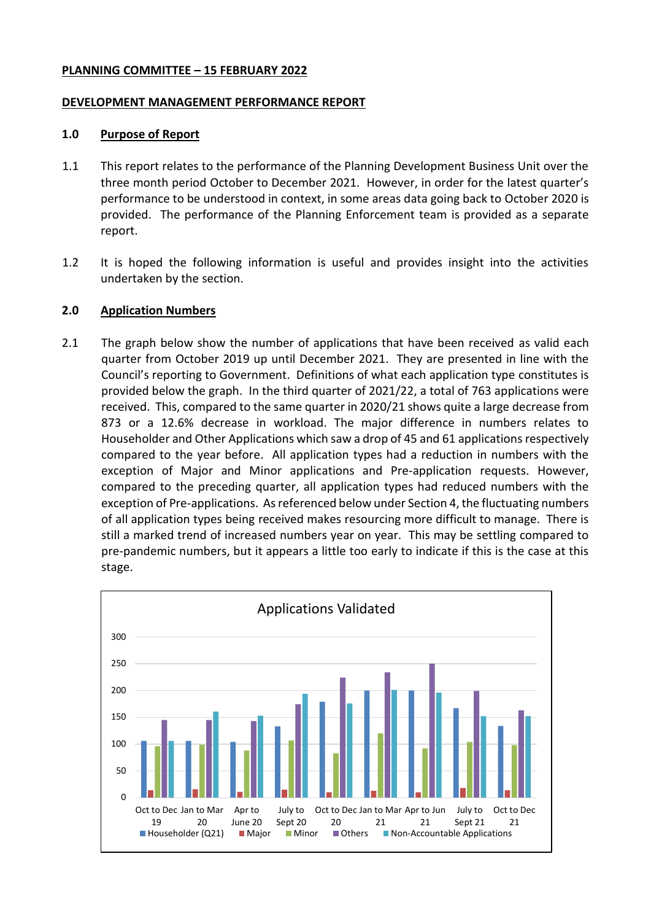#### **PLANNING COMMITTEE – 15 FEBRUARY 2022**

#### **DEVELOPMENT MANAGEMENT PERFORMANCE REPORT**

#### **1.0 Purpose of Report**

- 1.1 This report relates to the performance of the Planning Development Business Unit over the three month period October to December 2021. However, in order for the latest quarter's performance to be understood in context, in some areas data going back to October 2020 is provided. The performance of the Planning Enforcement team is provided as a separate report.
- 1.2 It is hoped the following information is useful and provides insight into the activities undertaken by the section.

### **2.0 Application Numbers**

2.1 The graph below show the number of applications that have been received as valid each quarter from October 2019 up until December 2021. They are presented in line with the Council's reporting to Government. Definitions of what each application type constitutes is provided below the graph. In the third quarter of 2021/22, a total of 763 applications were received. This, compared to the same quarter in 2020/21 shows quite a large decrease from 873 or a 12.6% decrease in workload. The major difference in numbers relates to Householder and Other Applications which saw a drop of 45 and 61 applications respectively compared to the year before. All application types had a reduction in numbers with the exception of Major and Minor applications and Pre-application requests. However, compared to the preceding quarter, all application types had reduced numbers with the exception of Pre-applications. As referenced below under Section 4, the fluctuating numbers of all application types being received makes resourcing more difficult to manage. There is still a marked trend of increased numbers year on year. This may be settling compared to pre-pandemic numbers, but it appears a little too early to indicate if this is the case at this stage.

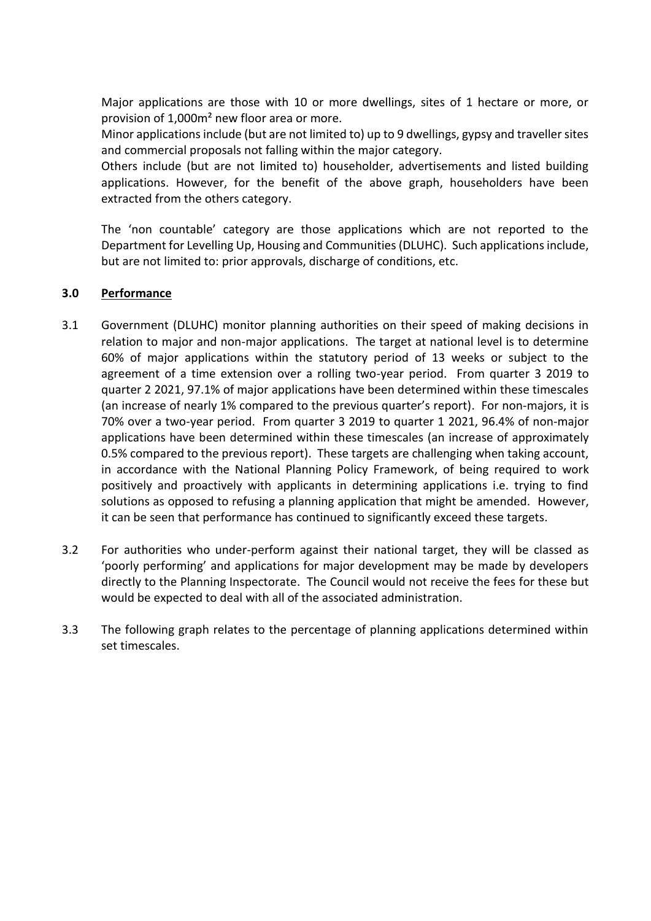Major applications are those with 10 or more dwellings, sites of 1 hectare or more, or provision of 1,000m² new floor area or more.

Minor applications include (but are not limited to) up to 9 dwellings, gypsy and traveller sites and commercial proposals not falling within the major category.

Others include (but are not limited to) householder, advertisements and listed building applications. However, for the benefit of the above graph, householders have been extracted from the others category.

The 'non countable' category are those applications which are not reported to the Department for Levelling Up, Housing and Communities (DLUHC). Such applications include, but are not limited to: prior approvals, discharge of conditions, etc.

## **3.0 Performance**

- 3.1 Government (DLUHC) monitor planning authorities on their speed of making decisions in relation to major and non-major applications. The target at national level is to determine 60% of major applications within the statutory period of 13 weeks or subject to the agreement of a time extension over a rolling two-year period. From quarter 3 2019 to quarter 2 2021, 97.1% of major applications have been determined within these timescales (an increase of nearly 1% compared to the previous quarter's report). For non-majors, it is 70% over a two-year period. From quarter 3 2019 to quarter 1 2021, 96.4% of non-major applications have been determined within these timescales (an increase of approximately 0.5% compared to the previous report). These targets are challenging when taking account, in accordance with the National Planning Policy Framework, of being required to work positively and proactively with applicants in determining applications i.e. trying to find solutions as opposed to refusing a planning application that might be amended. However, it can be seen that performance has continued to significantly exceed these targets.
- 3.2 For authorities who under-perform against their national target, they will be classed as 'poorly performing' and applications for major development may be made by developers directly to the Planning Inspectorate. The Council would not receive the fees for these but would be expected to deal with all of the associated administration.
- 3.3 The following graph relates to the percentage of planning applications determined within set timescales.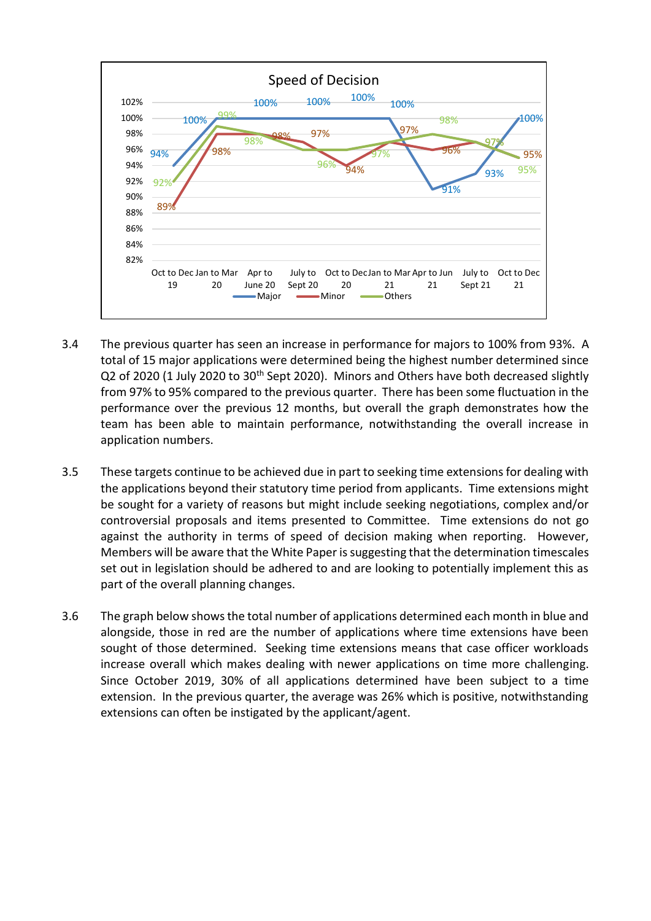

- 3.4 The previous quarter has seen an increase in performance for majors to 100% from 93%. A total of 15 major applications were determined being the highest number determined since Q2 of 2020 (1 July 2020 to 30<sup>th</sup> Sept 2020). Minors and Others have both decreased slightly from 97% to 95% compared to the previous quarter. There has been some fluctuation in the performance over the previous 12 months, but overall the graph demonstrates how the team has been able to maintain performance, notwithstanding the overall increase in application numbers.
- 3.5 These targets continue to be achieved due in part to seeking time extensions for dealing with the applications beyond their statutory time period from applicants. Time extensions might be sought for a variety of reasons but might include seeking negotiations, complex and/or controversial proposals and items presented to Committee. Time extensions do not go against the authority in terms of speed of decision making when reporting. However, Members will be aware that the White Paper is suggesting that the determination timescales set out in legislation should be adhered to and are looking to potentially implement this as part of the overall planning changes.
- 3.6 The graph below shows the total number of applications determined each month in blue and alongside, those in red are the number of applications where time extensions have been sought of those determined. Seeking time extensions means that case officer workloads increase overall which makes dealing with newer applications on time more challenging. Since October 2019, 30% of all applications determined have been subject to a time extension. In the previous quarter, the average was 26% which is positive, notwithstanding extensions can often be instigated by the applicant/agent.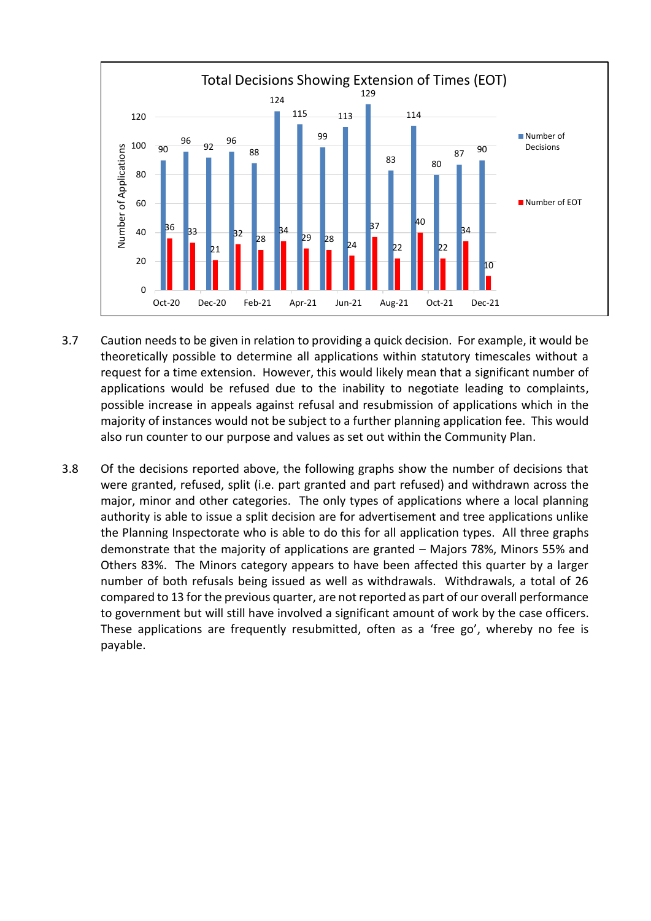

- 3.7 Caution needs to be given in relation to providing a quick decision. For example, it would be theoretically possible to determine all applications within statutory timescales without a request for a time extension. However, this would likely mean that a significant number of applications would be refused due to the inability to negotiate leading to complaints, possible increase in appeals against refusal and resubmission of applications which in the majority of instances would not be subject to a further planning application fee. This would also run counter to our purpose and values as set out within the Community Plan.
- 3.8 Of the decisions reported above, the following graphs show the number of decisions that were granted, refused, split (i.e. part granted and part refused) and withdrawn across the major, minor and other categories. The only types of applications where a local planning authority is able to issue a split decision are for advertisement and tree applications unlike the Planning Inspectorate who is able to do this for all application types. All three graphs demonstrate that the majority of applications are granted – Majors 78%, Minors 55% and Others 83%. The Minors category appears to have been affected this quarter by a larger number of both refusals being issued as well as withdrawals. Withdrawals, a total of 26 compared to 13 for the previous quarter, are not reported as part of our overall performance to government but will still have involved a significant amount of work by the case officers. These applications are frequently resubmitted, often as a 'free go', whereby no fee is payable.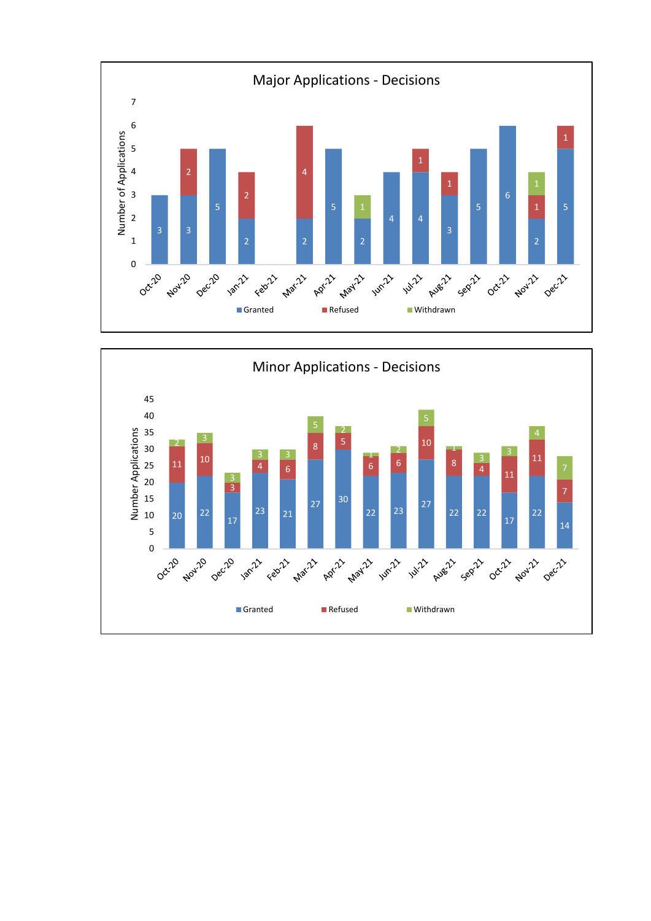

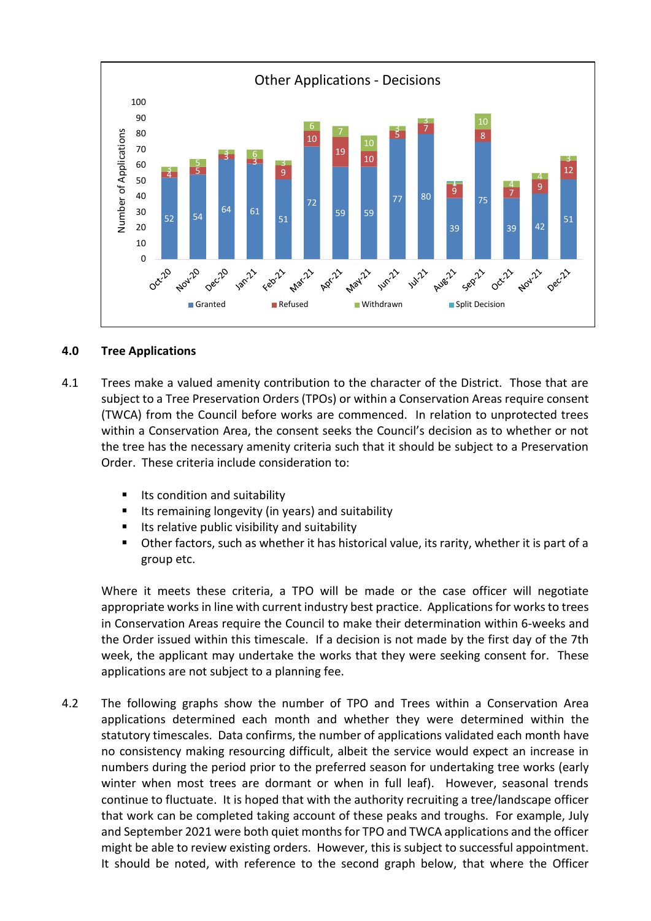

### **4.0 Tree Applications**

- 4.1 Trees make a valued amenity contribution to the character of the District. Those that are subject to a Tree Preservation Orders (TPOs) or within a Conservation Areas require consent (TWCA) from the Council before works are commenced. In relation to unprotected trees within a Conservation Area, the consent seeks the Council's decision as to whether or not the tree has the necessary amenity criteria such that it should be subject to a Preservation Order. These criteria include consideration to:
	- Its condition and suitability
	- **If Lubeling is ally a** lingulary (in years) and suitability
	- Its relative public visibility and suitability
	- Other factors, such as whether it has historical value, its rarity, whether it is part of a group etc.

Where it meets these criteria, a TPO will be made or the case officer will negotiate appropriate works in line with current industry best practice. Applications for works to trees in Conservation Areas require the Council to make their determination within 6-weeks and the Order issued within this timescale. If a decision is not made by the first day of the 7th week, the applicant may undertake the works that they were seeking consent for. These applications are not subject to a planning fee.

4.2 The following graphs show the number of TPO and Trees within a Conservation Area applications determined each month and whether they were determined within the statutory timescales. Data confirms, the number of applications validated each month have no consistency making resourcing difficult, albeit the service would expect an increase in numbers during the period prior to the preferred season for undertaking tree works (early winter when most trees are dormant or when in full leaf). However, seasonal trends continue to fluctuate. It is hoped that with the authority recruiting a tree/landscape officer that work can be completed taking account of these peaks and troughs. For example, July and September 2021 were both quiet months for TPO and TWCA applications and the officer might be able to review existing orders. However, this is subject to successful appointment. It should be noted, with reference to the second graph below, that where the Officer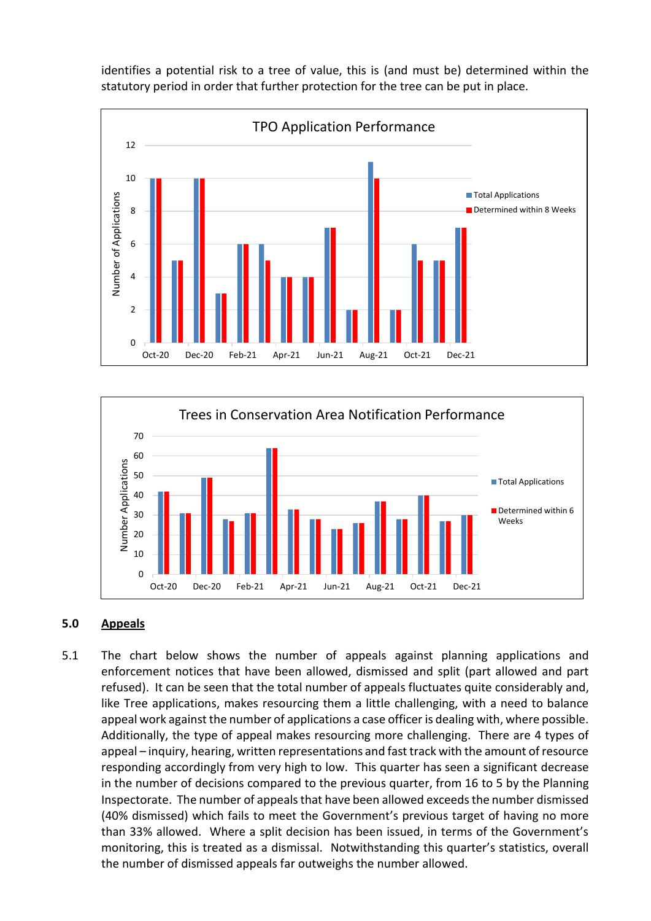identifies a potential risk to a tree of value, this is (and must be) determined within the statutory period in order that further protection for the tree can be put in place.





### **5.0 Appeals**

5.1 The chart below shows the number of appeals against planning applications and enforcement notices that have been allowed, dismissed and split (part allowed and part refused). It can be seen that the total number of appeals fluctuates quite considerably and, like Tree applications, makes resourcing them a little challenging, with a need to balance appeal work against the number of applications a case officer is dealing with, where possible. Additionally, the type of appeal makes resourcing more challenging. There are 4 types of appeal – inquiry, hearing, written representations and fast track with the amount of resource responding accordingly from very high to low. This quarter has seen a significant decrease in the number of decisions compared to the previous quarter, from 16 to 5 by the Planning Inspectorate. The number of appeals that have been allowed exceeds the number dismissed (40% dismissed) which fails to meet the Government's previous target of having no more than 33% allowed. Where a split decision has been issued, in terms of the Government's monitoring, this is treated as a dismissal. Notwithstanding this quarter's statistics, overall the number of dismissed appeals far outweighs the number allowed.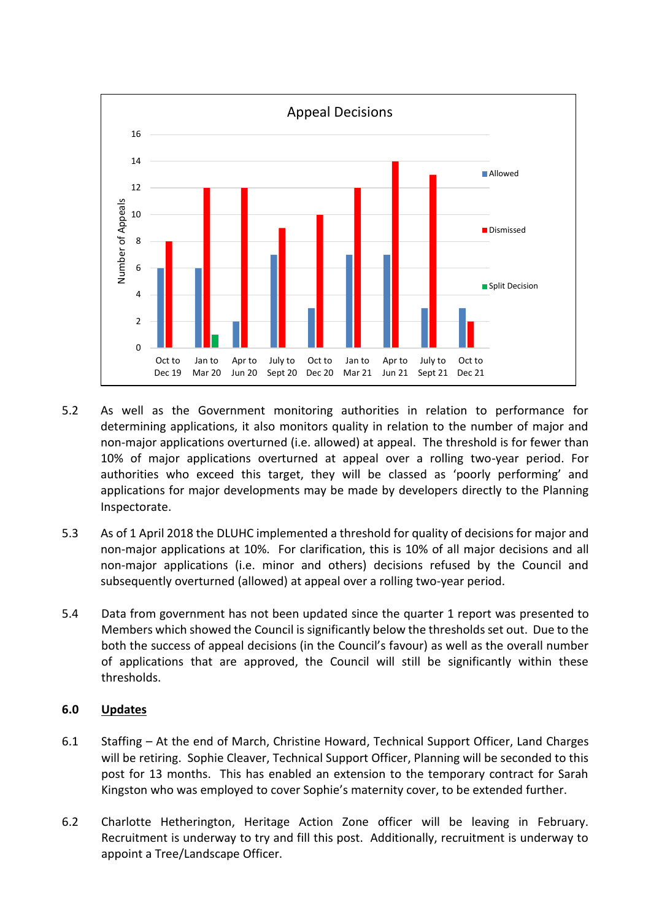

- 5.2 As well as the Government monitoring authorities in relation to performance for determining applications, it also monitors quality in relation to the number of major and non-major applications overturned (i.e. allowed) at appeal. The threshold is for fewer than 10% of major applications overturned at appeal over a rolling two-year period. For authorities who exceed this target, they will be classed as 'poorly performing' and applications for major developments may be made by developers directly to the Planning Inspectorate.
- 5.3 As of 1 April 2018 the DLUHC implemented a threshold for quality of decisions for major and non-major applications at 10%. For clarification, this is 10% of all major decisions and all non-major applications (i.e. minor and others) decisions refused by the Council and subsequently overturned (allowed) at appeal over a rolling two-year period.
- 5.4 Data from government has not been updated since the quarter 1 report was presented to Members which showed the Council is significantly below the thresholds set out. Due to the both the success of appeal decisions (in the Council's favour) as well as the overall number of applications that are approved, the Council will still be significantly within these thresholds.

### **6.0 Updates**

- 6.1 Staffing At the end of March, Christine Howard, Technical Support Officer, Land Charges will be retiring. Sophie Cleaver, Technical Support Officer, Planning will be seconded to this post for 13 months. This has enabled an extension to the temporary contract for Sarah Kingston who was employed to cover Sophie's maternity cover, to be extended further.
- 6.2 Charlotte Hetherington, Heritage Action Zone officer will be leaving in February. Recruitment is underway to try and fill this post. Additionally, recruitment is underway to appoint a Tree/Landscape Officer.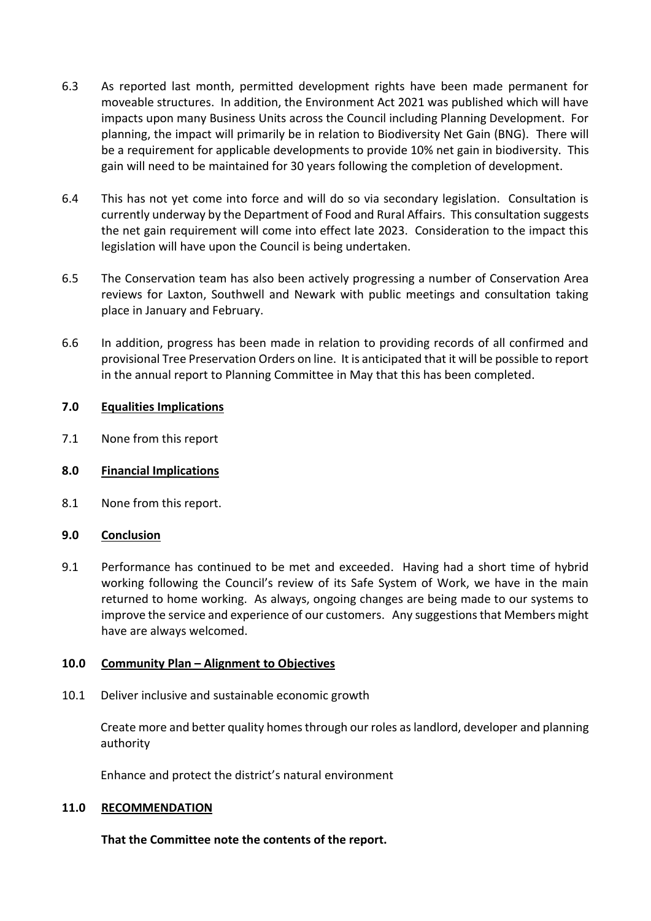- 6.3 As reported last month, permitted development rights have been made permanent for moveable structures. In addition, the Environment Act 2021 was published which will have impacts upon many Business Units across the Council including Planning Development. For planning, the impact will primarily be in relation to Biodiversity Net Gain (BNG). There will be a requirement for applicable developments to provide 10% net gain in biodiversity. This gain will need to be maintained for 30 years following the completion of development.
- 6.4 This has not yet come into force and will do so via secondary legislation. Consultation is currently underway by the Department of Food and Rural Affairs. This consultation suggests the net gain requirement will come into effect late 2023. Consideration to the impact this legislation will have upon the Council is being undertaken.
- 6.5 The Conservation team has also been actively progressing a number of Conservation Area reviews for Laxton, Southwell and Newark with public meetings and consultation taking place in January and February.
- 6.6 In addition, progress has been made in relation to providing records of all confirmed and provisional Tree Preservation Orders on line. It is anticipated that it will be possible to report in the annual report to Planning Committee in May that this has been completed.

## **7.0 Equalities Implications**

7.1 None from this report

### **8.0 Financial Implications**

8.1 None from this report.

### **9.0 Conclusion**

9.1 Performance has continued to be met and exceeded. Having had a short time of hybrid working following the Council's review of its Safe System of Work, we have in the main returned to home working. As always, ongoing changes are being made to our systems to improve the service and experience of our customers. Any suggestions that Members might have are always welcomed.

### **10.0 Community Plan – Alignment to Objectives**

10.1 Deliver inclusive and sustainable economic growth

Create more and better quality homes through our roles as landlord, developer and planning authority

Enhance and protect the district's natural environment

### **11.0 RECOMMENDATION**

**That the Committee note the contents of the report.**